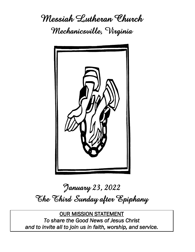**Messiah Lutheran Church Mechanicsville, Virginia**



# **January 23, 2022 The Third Sunday after Epiphany**

OUR MISSION STATEMENT *To share the Good News of Jesus Christ and to invite all to join us in faith, worship, and service.*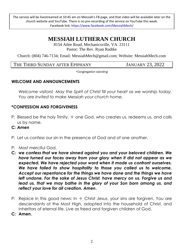The service will be livestreamed at 10:45 am on Messiah's FB page, and that video will be available later on the church website and YouTube. There is no pre-recording of the service on YouTube this week. Facebook link: https://www.facebook.com/MessiahMech/

# **MESSIAH LUTHERAN CHURCH**

8154 Atlee Road, Mechanicsville, VA 23111 Pastor: The Rev. Ryan Radtke

Church: (804) 746-7134; Email: MessiahMech@gmail.com; Website: MessiahMech.com

THE THIRD SUNDAY AFTER EPIPHANY JANUARY 23, 2022

*\*Congregation standing*

#### **WELCOME AND ANNOUNCEMENTS**

*Welcome visitors! May the Spirit of Christ fill your heart as we worship today. You are invited to make Messiah your church home.*

#### **\*CONFESSION AND FORGIVENESS**

- P: Blessed be the holy Trinity,  $\pm$  one God, who creates us, redeems us, and calls us by name.
- **C:** *Amen*
- P: Let us confess our sin in the presence of God and of one another.
- P: Most merciful God,
- **C:** *we confess that we have sinned against you and your beloved children. We have turned our faces away from your glory when it did not appear as we expected. We have rejected your word when it made us confront ourselves. We have failed to show hospitality to those you called us to welcome. Accept our repentance for the things we have done and the things we have left undone. For the sake of Jesus Christ, have mercy on us. Forgive us and lead us, that we may bathe in the glory of your Son born among us, and reflect your love for all creation. Amen***.**
- P: Rejoice in this good news: In  $\pm$  Christ Jesus, your sins are forgiven. You are descendants of the Most High, adopted into the household of Christ, and inheritors of eternal life. Live as freed and forgiven children of God.
- **C: Amen.**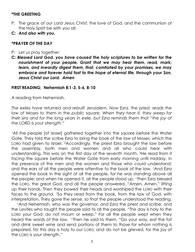#### **\*THE GREETING**

- P: The grace of our Lord Jesus Christ, the love of God, and the communion of the Holy Spirit be with you all.
- **C:** *And also with you.*

#### **\*PRAYER OF THE DAY**

- P: Let us pray together:
- **C:** *Blessed Lord God, you have caused the holy scriptures to be written for the nourishment of your people. Grant that we may hear them, read, mark, learn, and inwardly digest them, that, comforted by your promises, we may embrace and forever hold fast to the hope of eternal life, through your Son, Jesus Christ our Lord. Amen*

#### **FIRST READING: Nehemiah 8:1-3, 5-6, 8-10**

A reading from Nehemiah.

*The exiles have returned and rebuilt Jerusalem. Now Ezra, the priest, reads the law of Moses to them in the public square. When they hear it, they weep for their sins and for the long years in exile, but Ezra reminds them that "the joy of the LORD is your strength."*

<sup>1</sup>All the people [of Israel] gathered together into the square before the Water Gate. They told the scribe Ezra to bring the book of the law of Moses, which the LORD had given to Israel. 2Accordingly, the priest Ezra brought the law before the assembly, both men and women and all who could hear with understanding. This was on the first day of the seventh month. 3He read from it facing the square before the Water Gate from early morning until midday, in the presence of the men and the women and those who could understand; and the ears of all the people were attentive to the book of the law. 5And Ezra opened the book in the sight of all the people, for he was standing above all the people; and when he opened it, all the people stood up. <sup>6</sup>Then Ezra blessed the LORD, the great God, and all the people answered, "Amen, Amen," lifting up their hands. Then they bowed their heads and worshiped the LORD with their faces to the ground. <sup>8</sup>So they read from the book, from the law of God, with interpretation. They gave the sense, so that the people understood the reading.

<sup>9</sup> And Nehemiah, who was the governor, and Ezra the priest and scribe, and the Levites who taught the people said to all the people, "This day is holy to the LORD your God; do not mourn or weep." For all the people wept when they heard the words of the law. 10Then he said to them, "Go your way, eat the fat and drink sweet wine and send portions of them to those for whom nothing is prepared, for this day is holy to our LORD; and do not be grieved, for the joy of the LORD is your strength."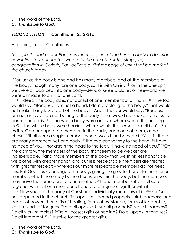L: The word of the Lord.

**C:** *Thanks be to God.*

#### **SECOND LESSON: 1 Corinthians 12:12-31a**

A reading from 1 Corinthians.

*The apostle and pastor Paul uses the metaphor of the human body to describe how intimately connected we are in the church. For this struggling congregation in Corinth, Paul delivers a vital message of unity that is a mark of the church today.*

<sup>12</sup>For just as the body is one and has many members, and all the members of the body, though many, are one body, so it is with Christ. 13For in the one Spirit we were all baptized into one body—Jews or Greeks, slaves or free—and we were all made to drink of one Spirit.

<sup>14</sup>Indeed, the body does not consist of one member but of many. <sup>15</sup>If the foot would say, "Because I am not a hand, I do not belong to the body," that would not make it any less a part of the body. 16And if the ear would say, "Because I am not an eye, I do not belong to the body," that would not make it any less a part of the body. 17If the whole body were an eye, where would the hearing be? If the whole body were hearing, where would the sense of smell be? 18But as it is, God arranged the members in the body, each one of them, as he chose. 19If all were a single member, where would the body be? 20As it is, there are many members, yet one body. 21The eye cannot say to the hand, "I have no need of you," nor again the head to the feet, "I have no need of you." 22On the contrary, the members of the body that seem to be weaker are indispensable, 23and those members of the body that we think less honorable we clothe with greater honor, and our less respectable members are treated with greater respect; <sup>24</sup>whereas our more respectable members do not need this. But God has so arranged the body, giving the greater honor to the inferior member, 25that there may be no dissension within the body, but the members may have the same care for one another. <sup>26</sup>If one member suffers, all suffer together with it; if one member is honored, all rejoice together with it.

 $^{27}$ Now you are the body of Christ and individually members of it.  $^{28}$ And God has appointed in the church first apostles, second prophets, third teachers; then deeds of power, then gifts of healing, forms of assistance, forms of leadership, various kinds of tongues. 29Are all apostles? Are all prophets? Are all teachers? Do all work miracles? 30Do all possess gifts of healing? Do all speak in tongues? Do all interpret? 31aBut strive for the greater gifts.

- L: The word of the Lord.
- **C:** *Thanks be to God.*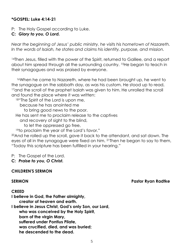#### **\*GOSPEL: Luke 4:14-21**

P: The Holy Gospel according to Luke.

#### **C:** *Glory to you, O Lord.*

*Near the beginning of Jesus' public ministry, he visits his hometown of Nazareth. In the words of Isaiah, he states and claims his identity, purpose, and mission.*

<sup>14</sup>Then Jesus, filled with the power of the Spirit, returned to Galilee, and a report about him spread through all the surrounding country. 15He began to teach in their synagogues and was praised by everyone.

<sup>16</sup>When he came to Nazareth, where he had been brought up, he went to the synagogue on the sabbath day, as was his custom. He stood up to read, <sup>17</sup> and the scroll of the prophet Isaiah was given to him. He unrolled the scroll and found the place where it was written:

18"The Spirit of the Lord is upon me,

because he has anointed me

to bring good news to the poor.

He has sent me to proclaim release to the captives

and recovery of sight to the blind,

to let the oppressed go free,

<sup>19</sup>to proclaim the year of the Lord's favor."

<sup>20</sup>And he rolled up the scroll, gave it back to the attendant, and sat down. The eyes of all in the synagogue were fixed on him. 21Then he began to say to them, "Today this scripture has been fulfilled in your hearing."

P: The Gospel of the Lord.

**C:** *Praise to you, O Christ.*

#### **CHILDREN'S SERMON**

#### **SERMON Pastor Ryan Radtke**

#### **CREED**

**I believe in God, the Father almighty, creator of heaven and earth. I believe in Jesus Christ, God's only Son, our Lord, who was conceived by the Holy Spirit,**

**born of the virgin Mary,**

**suffered under Pontius Pilate,**

**was crucified, died, and was buried;**

**he descended to the dead.**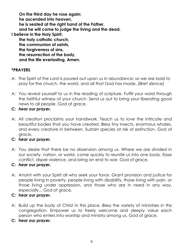**On the third day he rose again; he ascended into heaven, he is seated at the right hand of the Father, and he will come to judge the living and the dead. I believe in the Holy Spirit, the holy catholic church, the communion of saints, the forgiveness of sins, the resurrection of the body, and the life everlasting. Amen.**

#### **\*PRAYERS**

- A: The Spirit of the Lord is poured out upon us in abundance; so we are bold to pray for the church, the world, and all that God has made. *[Brief silence]*
- A: You reveal yourself to us in the reading of scripture. Fulfill your word through the faithful witness of your church. Send us out to bring your liberating good news to all people. God of grace,
- **C:** *hear our prayer.*
- A: All creation proclaims your handiwork. Teach us to love the intricate and beautiful bodies that you have created. Bless tiny insects, enormous whales, and every creature in between. Sustain species at risk of extinction. God of grace,
- **C:** *hear our prayer.*
- A: You desire that there be no dissension among us. Where we are divided in our society, nation, or world, come quickly to reunite us into one body. Ease conflict, dispel violence, and bring an end to war. God of grace,

#### **C:** *hear our prayer.*

A: Anoint with your Spirit all who seek your favor. Grant provision and justice for people living in poverty, people living with disability, those living with pain, or those living under oppression, and those who are in need in any way, especially... God of grace,

#### **C:** *hear our prayer.*

- A: Build up the body of Christ in this place. Bless the variety of ministries in this congregation. Empower us to freely welcome and deeply value each person who enters into worship and ministry among us. God of grace,
- **C:** *hear our prayer.*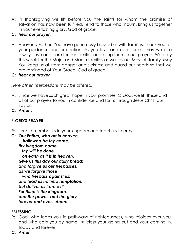- A: In thanksgiving we lift before you the saints for whom the promise of salvation has now been fulfilled. Tend to those who mourn. Bring us together in your everlasting glory. God of grace,
- **C:** *hear our prayer.*
- A: Heavenly Father, You have generously blessed us with families. Thank you for your guidance and protection. As you love and care for us, may we also always love and care for our families and keep them in our prayers. We pray this week for the Major and Martin families as well as our Messiah family. May You keep us all from danger and sickness and guard our hearts so that we are reminded of Your Grace. God of grace,
- **C:** *hear our prayer.*

*Here other intercessions may be offered.*

- A: Since we have such great hope in your promises, O God, we lift these and all of our prayers to you in confidence and faith; through Jesus Christ our Savior.
- **C:** *Amen***.**

#### **\*LORD'S PRAYER**

- P: Lord, remember us in your kingdom and teach us to pray.
- **C:** *Our Father, who art in heaven, hallowed be thy name, thy kingdom come, thy will be done, on earth as it is in heaven. Give us this day our daily bread; and forgive us our trespasses, as we forgive those who trespass against us; and lead us not into temptation, but deliver us from evil. For thine is the kingdom, and the power, and the glory, forever and ever. Amen.*

#### **\*BLESSING**

- P: God, who leads you in pathways of righteousness, who rejoices over you, and who calls you by name,  $\pm$  bless your going out and your coming in, today and forever.
- **C:** *Amen*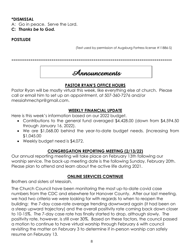#### **\*DISMISSAL**

A: Go in peace. Serve the Lord.

**C:** *Thanks be to God.*

# **POSTLUDE**

(Text used by permission of Augsburg Fortress license #11886-S)

\*\*\*\*\*\*\*\*\*\*\*\*\*\*\*\*\*\*\*\*\*\*\*\*\*\*\*\*\*\*\*\*\*\*\*\*\*\*\*\*\*\*\*\*\*\*\*\*\*\*\*\*\*\*\*\*\*\*\*\*\*\*\*\*\*\*\*\*\*\*\*\*\*\*\*\*\*\*\*\*\*\*\*\*



# **PASTOR RYAN'S OFFICE HOURS**

Pastor Ryan will be mostly virtual this week, like everything else at church. Please call or email him to set up an appointment, at 507-360-7276 and/or messiahmechpr@gmail.com.

# **WEEKLY FINANCIAL UPDATE**

Here is this week's information based on our 2022 budget.

- Contributions to the general fund averaged \$4,428.00 (down from \$4,594.50 through January 16, 2022).
- We are \$1,068.00 behind the year-to-date budget needs. (increasing from \$1,045.00
- Weekly budget need is \$4,072.

# **CONGREGATION REPORTING MEETING (2/13/22)**

Our annual reporting meeting will take place on February 13th following our worship service. The back-up meeting date is the following Sunday, February 20th. Please plan to attend and learn about the active life during 2021.

## **ONLINE SERVICES CONTINUE**

Brothers and sisters of Messiah,

The Church Council have been monitoring the most up-to-date covid case numbers from the CDC and elsewhere for Hanover County. After our last meeting, we had two criteria we were looking for with regards to when to reopen the building: the 7-day case-rate average trending downward again (it had been on a steep upward trajectory) and the overall positivity rate coming back down closer to 10-15%. The 7-day case rate has finally started to drop, although slowly. The positivity rate, however, is still over 30%. Based on these factors, the council passed a motion to continue to have virtual worship through February 6 with council revisiting the matter on February 3 to determine if in-person worship can safely resume on February 13.